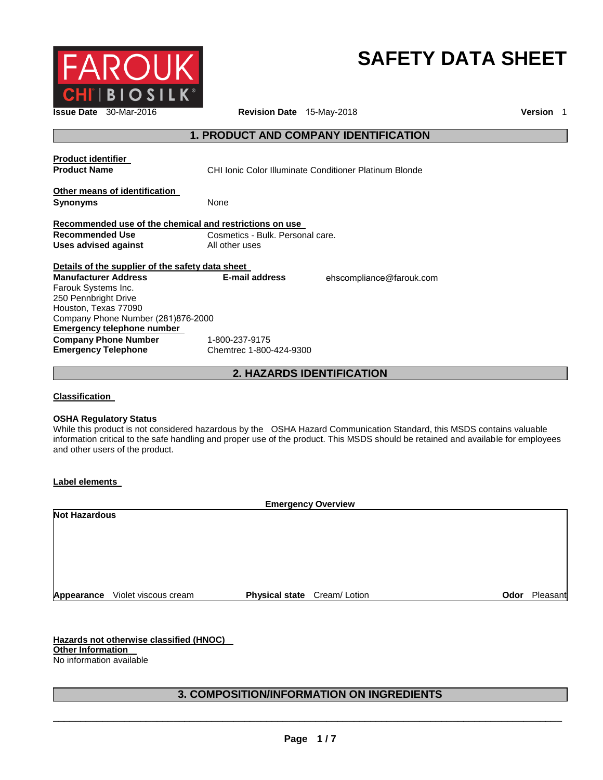

# **SAFETY DATA SHEET**

**Issue Date** 30-Mar-2016 **Revision Date** 15-May-2018 **Version** 1

## **1. PRODUCT AND COMPANY IDENTIFICATION**

| <b>Product identifier</b><br><b>Product Name</b>        | CHI Ionic Color Illuminate Conditioner Platinum Blonde |                          |
|---------------------------------------------------------|--------------------------------------------------------|--------------------------|
| Other means of identification<br><b>Synonyms</b>        | None                                                   |                          |
| Recommended use of the chemical and restrictions on use |                                                        |                          |
| <b>Recommended Use</b>                                  | Cosmetics - Bulk. Personal care.                       |                          |
| Uses advised against                                    | All other uses                                         |                          |
|                                                         |                                                        |                          |
| Details of the supplier of the safety data sheet        |                                                        |                          |
| <b>Manufacturer Address</b>                             | E-mail address                                         | ehscompliance@farouk.com |
| Farouk Systems Inc.                                     |                                                        |                          |
| 250 Pennbright Drive                                    |                                                        |                          |
| Houston, Texas 77090                                    |                                                        |                          |
| Company Phone Number (281)876-2000                      |                                                        |                          |
| Emergency telephone number                              |                                                        |                          |
| <b>Company Phone Number</b>                             | 1-800-237-9175                                         |                          |

**2. HAZARDS IDENTIFICATION**

**Classification** 

#### **OSHA Regulatory Status**

While this product is not considered hazardous by the OSHA Hazard Communication Standard, this MSDS contains valuable information critical to the safe handling and proper use of the product. This MSDS should be retained and available for employees and other users of the product.

**Label elements** 

| <b>Emergency Overview</b> |                                 |                             |      |          |
|---------------------------|---------------------------------|-----------------------------|------|----------|
| <b>Not Hazardous</b>      |                                 |                             |      |          |
|                           |                                 |                             |      |          |
|                           |                                 |                             |      |          |
|                           |                                 |                             |      |          |
|                           |                                 |                             |      |          |
|                           |                                 |                             |      |          |
|                           | Appearance Violet viscous cream | Physical state Cream/Lotion | Odor | Pleasant |

**Hazards not otherwise classified (HNOC) Other Information**  No information available

# **3. COMPOSITION/INFORMATION ON INGREDIENTS**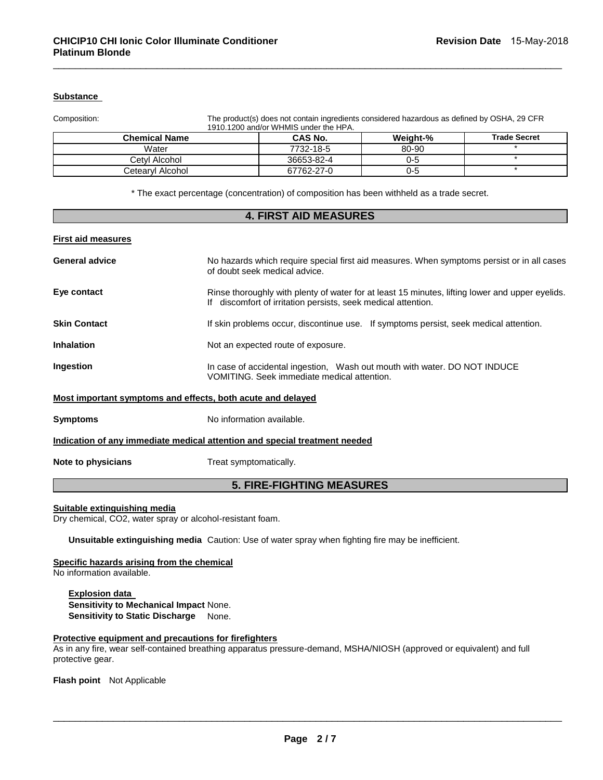## **Substance**

Composition: The product(s) does not contain ingredients considered hazardous as defined by OSHA, 29 CFR 1910.1200 and/or WHMIS under the HPA.

| <b>Chemical Name</b> | <b>CAS No.</b> | <b>Weight-%</b> | <b>Trade Secret</b> |
|----------------------|----------------|-----------------|---------------------|
| Water                | 7732-18-5      | 80-90           |                     |
| Cetvl Alcohol        | 36653-82-4     | 0-5             |                     |
| Cetearvl Alcohol     | 67762-27-0     | 0-5             |                     |

\_\_\_\_\_\_\_\_\_\_\_\_\_\_\_\_\_\_\_\_\_\_\_\_\_\_\_\_\_\_\_\_\_\_\_\_\_\_\_\_\_\_\_\_\_\_\_\_\_\_\_\_\_\_\_\_\_\_\_\_\_\_\_\_\_\_\_\_\_\_\_\_\_\_\_\_\_\_\_\_\_\_\_\_\_\_\_\_\_\_\_\_\_

\* The exact percentage (concentration) of composition has been withheld as a trade secret.

| <b>4. FIRST AID MEASURES</b>                                               |                                                                                                                                                                  |  |
|----------------------------------------------------------------------------|------------------------------------------------------------------------------------------------------------------------------------------------------------------|--|
| <b>First aid measures</b>                                                  |                                                                                                                                                                  |  |
| <b>General advice</b>                                                      | No hazards which require special first aid measures. When symptoms persist or in all cases<br>of doubt seek medical advice.                                      |  |
| Eye contact                                                                | Rinse thoroughly with plenty of water for at least 15 minutes, lifting lower and upper eyelids.<br>If discomfort of irritation persists, seek medical attention. |  |
| <b>Skin Contact</b>                                                        | If skin problems occur, discontinue use. If symptoms persist, seek medical attention.                                                                            |  |
| <b>Inhalation</b>                                                          | Not an expected route of exposure.                                                                                                                               |  |
| Ingestion                                                                  | In case of accidental ingestion, Wash out mouth with water. DO NOT INDUCE<br>VOMITING. Seek immediate medical attention.                                         |  |
| Most important symptoms and effects, both acute and delayed                |                                                                                                                                                                  |  |
| <b>Symptoms</b>                                                            | No information available.                                                                                                                                        |  |
| Indication of any immediate medical attention and special treatment needed |                                                                                                                                                                  |  |
| Note to physicians                                                         | Treat symptomatically.                                                                                                                                           |  |
| <b>5. FIRE-FIGHTING MEASURES</b>                                           |                                                                                                                                                                  |  |

#### **Suitable extinguishing media**

Dry chemical, CO2, water spray or alcohol-resistant foam.

**Unsuitable extinguishing media** Caution: Use of water spray when fighting fire may be inefficient.

#### **Specific hazards arising from the chemical**

No information available.

**Explosion data Sensitivity to Mechanical Impact** None. **Sensitivity to Static Discharge** None.

#### **Protective equipment and precautions for firefighters**

As in any fire, wear self-contained breathing apparatus pressure-demand, MSHA/NIOSH (approved or equivalent) and full protective gear.

**Flash point** Not Applicable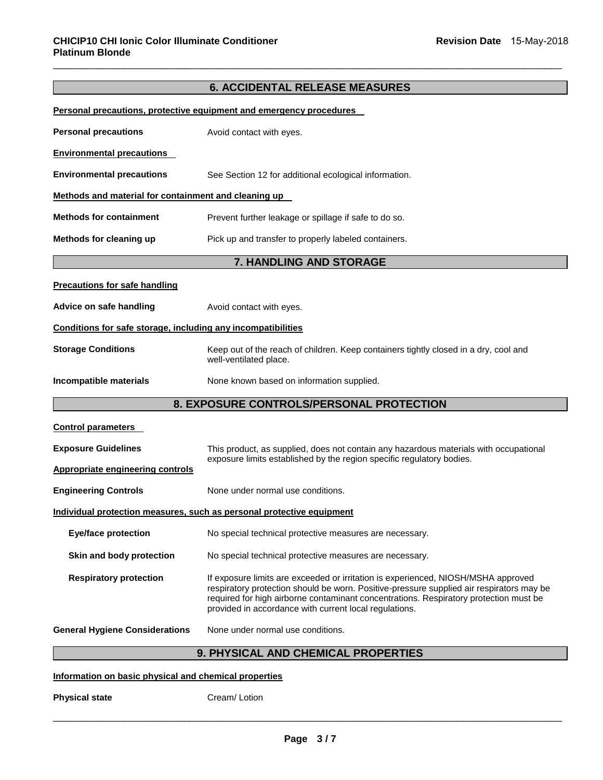# **6. ACCIDENTAL RELEASE MEASURES**

\_\_\_\_\_\_\_\_\_\_\_\_\_\_\_\_\_\_\_\_\_\_\_\_\_\_\_\_\_\_\_\_\_\_\_\_\_\_\_\_\_\_\_\_\_\_\_\_\_\_\_\_\_\_\_\_\_\_\_\_\_\_\_\_\_\_\_\_\_\_\_\_\_\_\_\_\_\_\_\_\_\_\_\_\_\_\_\_\_\_\_\_\_

|                                                              | Personal precautions, protective equipment and emergency procedures                                                                                                                                                                                                                                                              |  |
|--------------------------------------------------------------|----------------------------------------------------------------------------------------------------------------------------------------------------------------------------------------------------------------------------------------------------------------------------------------------------------------------------------|--|
| <b>Personal precautions</b>                                  | Avoid contact with eyes.                                                                                                                                                                                                                                                                                                         |  |
| <b>Environmental precautions</b>                             |                                                                                                                                                                                                                                                                                                                                  |  |
| <b>Environmental precautions</b>                             | See Section 12 for additional ecological information.                                                                                                                                                                                                                                                                            |  |
| Methods and material for containment and cleaning up         |                                                                                                                                                                                                                                                                                                                                  |  |
| <b>Methods for containment</b>                               | Prevent further leakage or spillage if safe to do so.                                                                                                                                                                                                                                                                            |  |
| Methods for cleaning up                                      | Pick up and transfer to properly labeled containers.                                                                                                                                                                                                                                                                             |  |
|                                                              | 7. HANDLING AND STORAGE                                                                                                                                                                                                                                                                                                          |  |
| <b>Precautions for safe handling</b>                         |                                                                                                                                                                                                                                                                                                                                  |  |
| Advice on safe handling                                      | Avoid contact with eyes.                                                                                                                                                                                                                                                                                                         |  |
| Conditions for safe storage, including any incompatibilities |                                                                                                                                                                                                                                                                                                                                  |  |
| <b>Storage Conditions</b>                                    | Keep out of the reach of children. Keep containers tightly closed in a dry, cool and<br>well-ventilated place.                                                                                                                                                                                                                   |  |
| Incompatible materials                                       | None known based on information supplied.                                                                                                                                                                                                                                                                                        |  |
|                                                              | 8. EXPOSURE CONTROLS/PERSONAL PROTECTION                                                                                                                                                                                                                                                                                         |  |
| <b>Control parameters</b>                                    |                                                                                                                                                                                                                                                                                                                                  |  |
| <b>Exposure Guidelines</b>                                   | This product, as supplied, does not contain any hazardous materials with occupational                                                                                                                                                                                                                                            |  |
| <b>Appropriate engineering controls</b>                      | exposure limits established by the region specific regulatory bodies.                                                                                                                                                                                                                                                            |  |
| <b>Engineering Controls</b>                                  | None under normal use conditions.                                                                                                                                                                                                                                                                                                |  |
|                                                              | Individual protection measures, such as personal protective equipment                                                                                                                                                                                                                                                            |  |
| <b>Eye/face protection</b>                                   | No special technical protective measures are necessary.                                                                                                                                                                                                                                                                          |  |
| Skin and body protection                                     | No special technical protective measures are necessary.                                                                                                                                                                                                                                                                          |  |
| <b>Respiratory protection</b>                                | If exposure limits are exceeded or irritation is experienced, NIOSH/MSHA approved<br>respiratory protection should be worn. Positive-pressure supplied air respirators may be<br>required for high airborne contaminant concentrations. Respiratory protection must be<br>provided in accordance with current local regulations. |  |
| <b>General Hygiene Considerations</b>                        | None under normal use conditions.                                                                                                                                                                                                                                                                                                |  |
|                                                              | <b>9. PHYSICAL AND CHEMICAL PROPERTIES</b>                                                                                                                                                                                                                                                                                       |  |

# **Information on basic physical and chemical properties**

**Physical state Cream/ Lotion**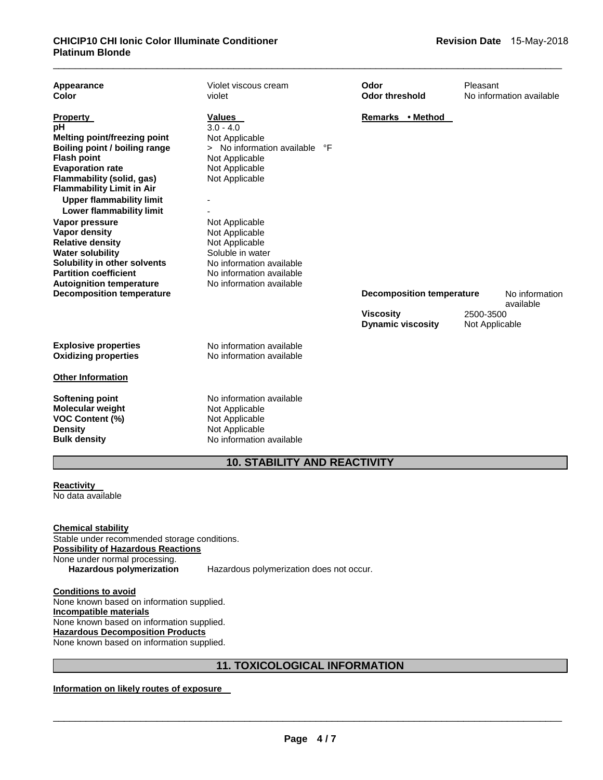| Appearance<br>Color                                                                                                                                                                                                                                                                                                                                                                                                                                                               | Violet viscous cream<br>violet                                                                                                                                                                                                                                                               | Odor<br><b>Odor threshold</b>                | Pleasant<br>No information available |
|-----------------------------------------------------------------------------------------------------------------------------------------------------------------------------------------------------------------------------------------------------------------------------------------------------------------------------------------------------------------------------------------------------------------------------------------------------------------------------------|----------------------------------------------------------------------------------------------------------------------------------------------------------------------------------------------------------------------------------------------------------------------------------------------|----------------------------------------------|--------------------------------------|
| <b>Property</b><br>рH<br><b>Melting point/freezing point</b><br>Boiling point / boiling range<br><b>Flash point</b><br><b>Evaporation rate</b><br>Flammability (solid, gas)<br><b>Flammability Limit in Air</b><br><b>Upper flammability limit</b><br><b>Lower flammability limit</b><br>Vapor pressure<br>Vapor density<br><b>Relative density</b><br><b>Water solubility</b><br>Solubility in other solvents<br><b>Partition coefficient</b><br><b>Autoignition temperature</b> | Values<br>$3.0 - 4.0$<br>Not Applicable<br>> No information available °F<br>Not Applicable<br>Not Applicable<br>Not Applicable<br>Not Applicable<br>Not Applicable<br>Not Applicable<br>Soluble in water<br>No information available<br>No information available<br>No information available | Remarks • Method                             |                                      |
| <b>Decomposition temperature</b>                                                                                                                                                                                                                                                                                                                                                                                                                                                  |                                                                                                                                                                                                                                                                                              | <b>Decomposition temperature</b>             | No information<br>available          |
|                                                                                                                                                                                                                                                                                                                                                                                                                                                                                   |                                                                                                                                                                                                                                                                                              | <b>Viscosity</b><br><b>Dynamic viscosity</b> | 2500-3500<br>Not Applicable          |
| <b>Explosive properties</b><br><b>Oxidizing properties</b>                                                                                                                                                                                                                                                                                                                                                                                                                        | No information available<br>No information available                                                                                                                                                                                                                                         |                                              |                                      |
| <b>Other Information</b>                                                                                                                                                                                                                                                                                                                                                                                                                                                          |                                                                                                                                                                                                                                                                                              |                                              |                                      |
| <b>Softening point</b><br><b>Molecular weight</b><br><b>VOC Content (%)</b><br><b>Density</b><br><b>Bulk density</b>                                                                                                                                                                                                                                                                                                                                                              | No information available<br>Not Applicable<br>Not Applicable<br>Not Applicable<br>No information available                                                                                                                                                                                   |                                              |                                      |

# **10. STABILITY AND REACTIVITY**

**Reactivity**  No data available

**Chemical stability** Stable under recommended storage conditions. **Possibility of Hazardous Reactions** None under normal processing.<br>Hazardous polymerization

**Hazardous polymerization** Hazardous polymerization does not occur.

**Conditions to avoid** None known based on information supplied. **Incompatible materials** None known based on information supplied. **Hazardous Decomposition Products** None known based on information supplied.

# **11. TOXICOLOGICAL INFORMATION**

**Information on likely routes of exposure**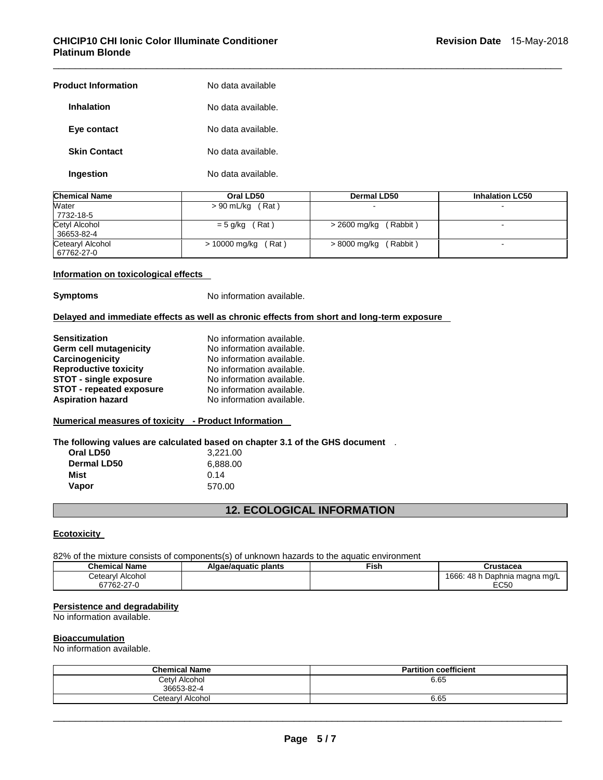## **CHICIP10 CHI Ionic Color Illuminate Conditioner Platinum Blonde**

| <b>Product Information</b> | No data available  |
|----------------------------|--------------------|
| <b>Inhalation</b>          | No data available. |
| Eye contact                | No data available. |
| <b>Skin Contact</b>        | No data available. |
| Ingestion                  | No data available. |

| <b>Chemical Name</b>           | Oral LD50              | Dermal LD50              | <b>Inhalation LC50</b> |
|--------------------------------|------------------------|--------------------------|------------------------|
| Water<br>7732-18-5             | $> 90$ mL/kg (Rat)     |                          |                        |
| Cetyl Alcohol<br>36653-82-4    | $= 5$ g/kg (Rat)       | (Rabbit)<br>> 2600 mg/kg |                        |
| Cetearyl Alcohol<br>67762-27-0 | > 10000 mg/kg<br>(Rat) | (Rabbit)<br>> 8000 mg/kg |                        |

\_\_\_\_\_\_\_\_\_\_\_\_\_\_\_\_\_\_\_\_\_\_\_\_\_\_\_\_\_\_\_\_\_\_\_\_\_\_\_\_\_\_\_\_\_\_\_\_\_\_\_\_\_\_\_\_\_\_\_\_\_\_\_\_\_\_\_\_\_\_\_\_\_\_\_\_\_\_\_\_\_\_\_\_\_\_\_\_\_\_\_\_\_

#### **Information on toxicological effects**

**Symptoms** No information available.

#### **Delayed and immediate effects as well as chronic effects from short and long-term exposure**

| <b>Sensitization</b>            | No information available. |
|---------------------------------|---------------------------|
| Germ cell mutagenicity          | No information available. |
| Carcinogenicity                 | No information available. |
| <b>Reproductive toxicity</b>    | No information available. |
| <b>STOT - single exposure</b>   | No information available. |
| <b>STOT - repeated exposure</b> | No information available. |
| <b>Aspiration hazard</b>        | No information available. |
|                                 |                           |

## **Numerical measures of toxicity - Product Information**

**The following values are calculated based on chapter 3.1 of the GHS document** .

| Oral LD50   | 3,221.00 |
|-------------|----------|
| Dermal LD50 | 6.888.00 |
| Mist        | 0.14     |
| Vapor       | 570.00   |

## **12. ECOLOGICAL INFORMATION**

#### **Ecotoxicity**

82% of the mixture consists of components(s) of unknown hazards to the aquatic environment

| Chemical Name         | Algae/aguatic plants | Fish. | Crustacea                            |
|-----------------------|----------------------|-------|--------------------------------------|
| etearylٽ<br>I Alcohol |                      |       | 1666:<br>48 h<br>⊨Daphnia maɑna mɑ/L |
| 67762-27-0            |                      |       | EC50                                 |

## **Persistence and degradability**

No information available.

#### **Bioaccumulation**

No information available.

| <b>Chemical Name</b>        | <b>Partition coefficient</b> |
|-----------------------------|------------------------------|
| Cetyl Alcohol<br>36653-82-4 | 6.65                         |
| Cetearyl Alcohol            | 6.65                         |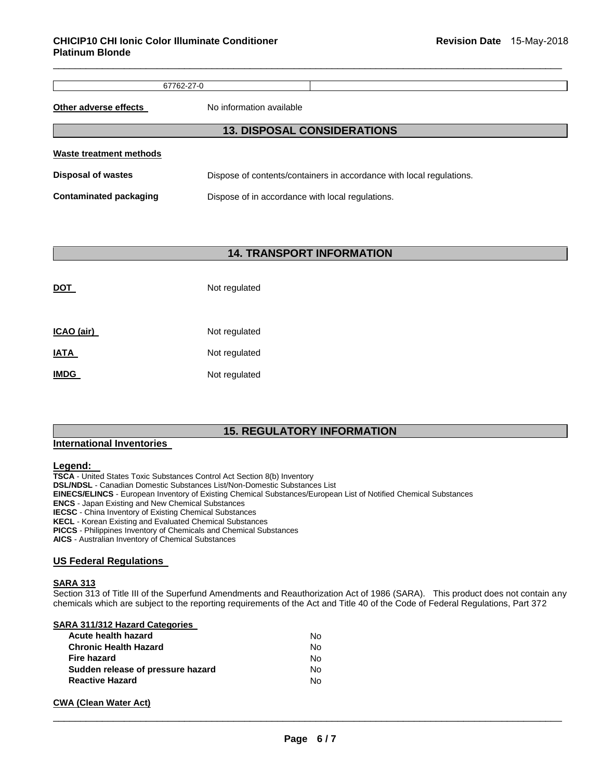67762-27-0

\_\_\_\_\_\_\_\_\_\_\_\_\_\_\_\_\_\_\_\_\_\_\_\_\_\_\_\_\_\_\_\_\_\_\_\_\_\_\_\_\_\_\_\_\_\_\_\_\_\_\_\_\_\_\_\_\_\_\_\_\_\_\_\_\_\_\_\_\_\_\_\_\_\_\_\_\_\_\_\_\_\_\_\_\_\_\_\_\_\_\_\_\_

**Other adverse effects** No information available

| <b>13. DISPOSAL CONSIDERATIONS</b> |                                                                      |  |  |  |  |
|------------------------------------|----------------------------------------------------------------------|--|--|--|--|
| Waste treatment methods            |                                                                      |  |  |  |  |
| <b>Disposal of wastes</b>          | Dispose of contents/containers in accordance with local regulations. |  |  |  |  |
| Contaminated packaging             | Dispose of in accordance with local regulations.                     |  |  |  |  |

## **14. TRANSPORT INFORMATION**

| DOT         | Not regulated |
|-------------|---------------|
| ICAO (air)  | Not regulated |
| <b>IATA</b> | Not regulated |
| <b>IMDG</b> | Not regulated |

## **15. REGULATORY INFORMATION**

#### **International Inventories**

#### **Legend:**

**TSCA** - United States Toxic Substances Control Act Section 8(b) Inventory **DSL/NDSL** - Canadian Domestic Substances List/Non-Domestic Substances List **EINECS/ELINCS** - European Inventory of Existing Chemical Substances/European List of Notified Chemical Substances **ENCS** - Japan Existing and New Chemical Substances **IECSC** - China Inventory of Existing Chemical Substances **KECL** - Korean Existing and Evaluated Chemical Substances **PICCS** - Philippines Inventory of Chemicals and Chemical Substances **AICS** - Australian Inventory of Chemical Substances

#### **US Federal Regulations**

#### **SARA 313**

Section 313 of Title III of the Superfund Amendments and Reauthorization Act of 1986 (SARA). This product does not contain any chemicals which are subject to the reporting requirements of the Act and Title 40 of the Code of Federal Regulations, Part 372

## **SARA 311/312 Hazard Categories**

| Acute health hazard               | N٥ |
|-----------------------------------|----|
| <b>Chronic Health Hazard</b>      | N٥ |
| <b>Fire hazard</b>                | N٥ |
| Sudden release of pressure hazard | N٥ |
| <b>Reactive Hazard</b>            | N٥ |

#### **CWA (Clean Water Act)**